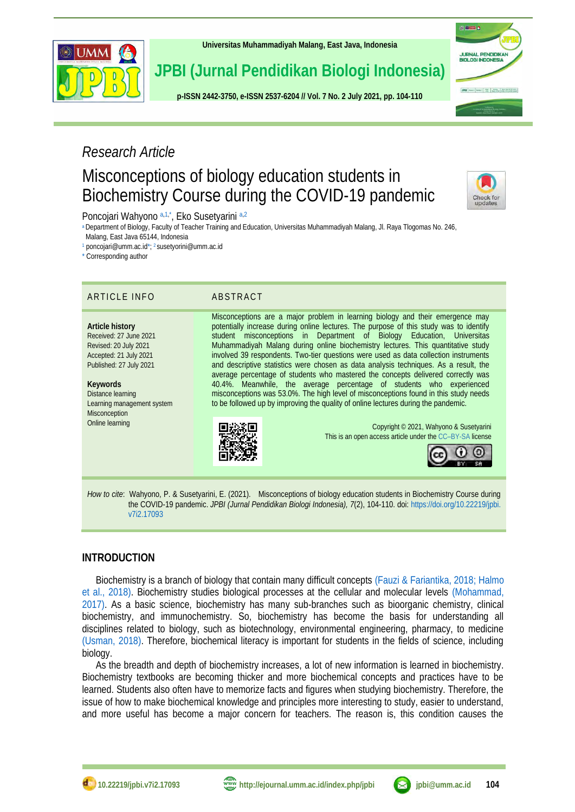

**[Universitas Muhammadiyah Malang,](http://ejournal.umm.ac.id/) East Java, Indonesia**

# **JPBI (Jurnal Pendidikan Biologi Indonesia)**

**p-ISS[N 2442-3750,](http://u.lipi.go.id/1422867894) e-ISSN [2537-6204](http://u.lipi.go.id/1460300524) // Vol. 7 No. 2 July 2021, pp. 104-110**

# *Research Article*

# Misconceptions of biology education students in Biochemistry Course during the COVID-19 pandemic



**ISLENDO** 

JURNAL PENDIDIKA<br>BIOLOGI INDONESIA

 $J\overline{v}\overline{v}$  <br>  $J\overline{v}\overline{v}$  <br>  $\overline{v}=\left\{ \begin{array}{ccc} v_{\text{c}} & v_{\text{c}} & \text{if } v_{\text{c}} & \text{if } v_{\text{c}} & \text{if } v_{\text{c}} & \text{if } v_{\text{c}} & \text{if } v_{\text{c}} & \text{if } v_{\text{c}} & \text{if } v_{\text{c}} & \text{if } v_{\text{c}} & \text{if } v_{\text{c}} & \text{if } v_{\text{c}} & \text{if } v_{\text{c}} & \text{if } v_{\text{$ 

<span id="page-0-8"></span><span id="page-0-5"></span><span id="page-0-4"></span>Poncojari Wahyono [a,](#page-0-0)[1,](#page-0-1)[\\*](#page-0-2), Eko Susetyarini a,[2](#page-0-3)

<span id="page-0-0"></span>[a](#page-0-4) Department of Biology, Faculty of Teacher Training and Education, Universitas Muhammadiyah Malang, Jl. Raya Tlogomas No. 246, Malang, East Java 65144, Indonesia

<span id="page-0-3"></span><span id="page-0-2"></span><span id="page-0-1"></span>[1](#page-0-5) poncojari@umm.ac.i[d\\*;](#page-0-6)<sup>2</sup> susetyorini@umm.ac.id

<span id="page-0-6"></span>[\\*](#page-0-8) Corresponding author

## ARTICLE INFO ABSTRACT

**Article history** Received: 27 June 2021 Revised: 20 July 2021 Accepted: 21 July 2021 Published: 27 July 2021

**Keywords** Distance learning Learning management system Misconception Online learning

<span id="page-0-7"></span>Misconceptions are a major problem in learning biology and their emergence may potentially increase during online lectures. The purpose of this study was to identify student misconceptions in Department of Biology Education, Universitas Muhammadiyah Malang during online biochemistry lectures. This quantitative study involved 39 respondents. Two-tier questions were used as data collection instruments and descriptive statistics were chosen as data analysis techniques. As a result, the average percentage of students who mastered the concepts delivered correctly was 40.4%. Meanwhile, the average percentage of students who experienced misconceptions was 53.0%. The high level of misconceptions found in this study needs to be followed up by improving the quality of online lectures during the pandemic.



Copyright © 2021, Wahyono & Susetyarini This is an open access article under the CC–[BY-SA](http://creativecommons.org/licenses/by-sa/4.0/) license



*How to cite*: Wahyono, P. & Susetyarini, E. (2021). Misconceptions of biology education students in Biochemistry Course during the COVID-19 pandemic. *JPBI (Jurnal Pendidikan Biologi Indonesia), 7*(2), 104-110. doi: [https://doi.org/10.22219/jpbi.](https://doi.org/10.22219/jpbi.v7i2.17093) [v7i2.17093](https://doi.org/10.22219/jpbi.v7i2.17093)

# **INTRODUCTION**

Biochemistry is a branch of biology that contain many difficult concepts [\(Fauzi & Fariantika, 2018;](#page-4-0) [Halmo](#page-4-1)  [et al., 2018\).](#page-4-1) Biochemistry studies biological processes at the cellular and molecular levels [\(Mohammad,](#page-5-0)  2017). As a basic science, biochemistry has many sub-branches such as bioorganic chemistry, clinical biochemistry, and immunochemistry. So, biochemistry has become the basis for understanding all disciplines related to biology, such as biotechnology, environmental engineering, pharmacy, to medicine [\(Usman, 2018\).](#page-5-1) Therefore, biochemical literacy is important for students in the fields of science, including biology.

As the breadth and depth of biochemistry increases, a lot of new information is learned in biochemistry. Biochemistry textbooks are becoming thicker and more biochemical concepts and practices have to be learned. Students also often have to memorize facts and figures when studying biochemistry. Therefore, the issue of how to make biochemical knowledge and principles more interesting to study, easier to understand, and more useful has become a major concern for teachers. The reason is, this condition causes the

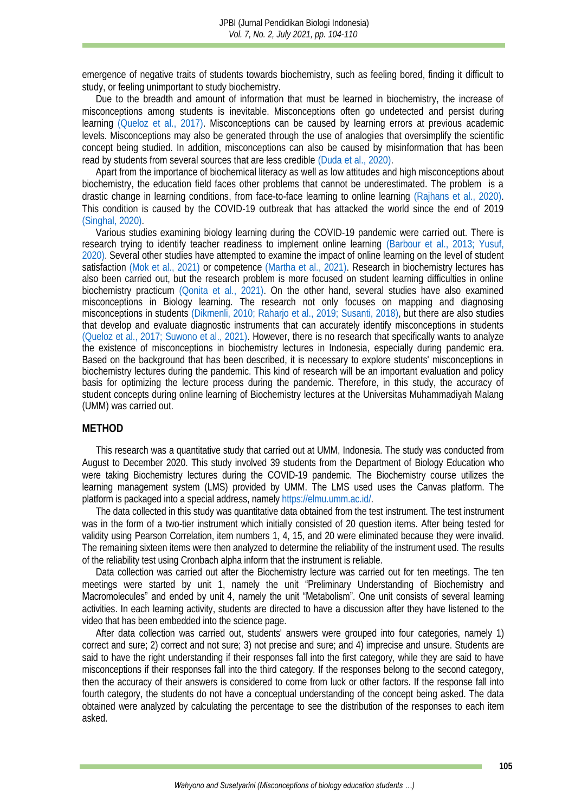emergence of negative traits of students towards biochemistry, such as feeling bored, finding it difficult to study, or feeling unimportant to study biochemistry.

Due to the breadth and amount of information that must be learned in biochemistry, the increase of misconceptions among students is inevitable. Misconceptions often go undetected and persist during learning [\(Queloz et al., 2017\).](#page-5-2) Misconceptions can be caused by learning errors at previous academic levels. Misconceptions may also be generated through the use of analogies that oversimplify the scientific concept being studied. In addition, misconceptions can also be caused by misinformation that has been read by students from several sources that are less credible [\(Duda et al., 2020\).](#page-4-2)

Apart from the importance of biochemical literacy as well as low attitudes and high misconceptions about biochemistry, the education field faces other problems that cannot be underestimated. The problem is a drastic change in learning conditions, from face-to-face learning to online learning [\(Rajhans et al., 2020\).](#page-5-3) This condition is caused by the COVID-19 outbreak that has attacked the world since the end of 2019 [\(Singhal, 2020\).](#page-5-4)

Various studies examining biology learning during the COVID-19 pandemic were carried out. There is research trying to identify teacher readiness to implement online learning [\(Barbour et al., 2013;](#page-4-3) [Yusuf,](#page-6-0)  [2020\).](#page-6-0) Several other studies have attempted to examine the impact of online learning on the level of student satisfaction [\(Mok et al., 2021\)](#page-5-5) or competence [\(Martha et al., 2021\).](#page-5-6) Research in biochemistry lectures has also been carried out, but the research problem is more focused on student learning difficulties in online biochemistry practicum [\(Qonita et al., 2021\).](#page-5-7) On the other hand, several studies have also examined misconceptions in Biology learning. The research not only focuses on mapping and diagnosing misconceptions in students [\(Dikmenli, 2010;](#page-4-4) [Raharjo et al., 2019;](#page-5-8) [Susanti, 2018\),](#page-5-9) but there are also studies that develop and evaluate diagnostic instruments that can accurately identify misconceptions in students [\(Queloz et al., 2017;](#page-5-2) [Suwono et al., 2021\).](#page-5-10) However, there is no research that specifically wants to analyze the existence of misconceptions in biochemistry lectures in Indonesia, especially during pandemic era. Based on the background that has been described, it is necessary to explore students' misconceptions in biochemistry lectures during the pandemic. This kind of research will be an important evaluation and policy basis for optimizing the lecture process during the pandemic. Therefore, in this study, the accuracy of student concepts during online learning of Biochemistry lectures at the Universitas Muhammadiyah Malang (UMM) was carried out.

### **METHOD**

This research was a quantitative study that carried out at UMM, Indonesia. The study was conducted from August to December 2020. This study involved 39 students from the Department of Biology Education who were taking Biochemistry lectures during the COVID-19 pandemic. The Biochemistry course utilizes the learning management system (LMS) provided by UMM. The LMS used uses the Canvas platform. The platform is packaged into a special address, namely [https://elmu.umm.ac.id/.](https://elmu.umm.ac.id/)

The data collected in this study was quantitative data obtained from the test instrument. The test instrument was in the form of a two-tier instrument which initially consisted of 20 question items. After being tested for validity using Pearson Correlation, item numbers 1, 4, 15, and 20 were eliminated because they were invalid. The remaining sixteen items were then analyzed to determine the reliability of the instrument used. The results of the reliability test using Cronbach alpha inform that the instrument is reliable.

Data collection was carried out after the Biochemistry lecture was carried out for ten meetings. The ten meetings were started by unit 1, namely the unit "Preliminary Understanding of Biochemistry and Macromolecules" and ended by unit 4, namely the unit "Metabolism". One unit consists of several learning activities. In each learning activity, students are directed to have a discussion after they have listened to the video that has been embedded into the science page.

After data collection was carried out, students' answers were grouped into four categories, namely 1) correct and sure; 2) correct and not sure; 3) not precise and sure; and 4) imprecise and unsure. Students are said to have the right understanding if their responses fall into the first category, while they are said to have misconceptions if their responses fall into the third category. If the responses belong to the second category, then the accuracy of their answers is considered to come from luck or other factors. If the response fall into fourth category, the students do not have a conceptual understanding of the concept being asked. The data obtained were analyzed by calculating the percentage to see the distribution of the responses to each item asked.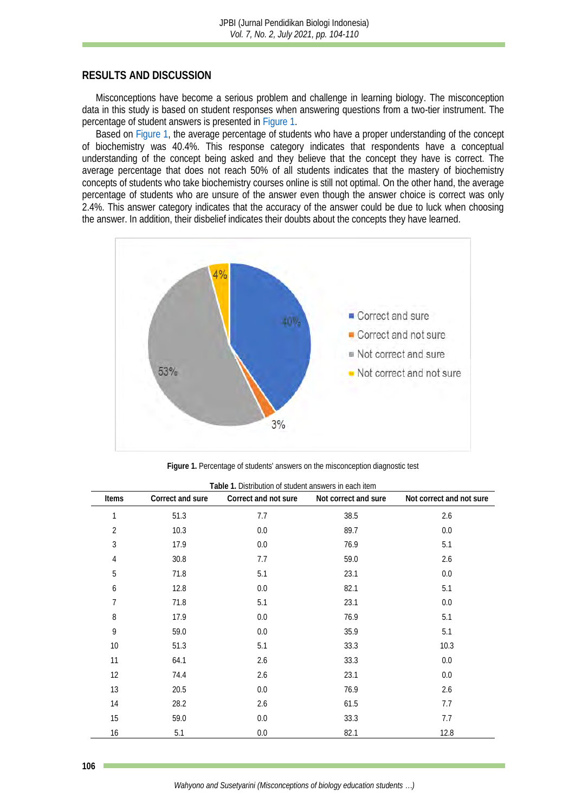# **RESULTS AND DISCUSSION**

Misconceptions have become a serious problem and challenge in learning biology. The misconception data in this study is based on student responses when answering questions from a two-tier instrument. The percentage of student answers is presented in [Figure 1.](#page-2-0)

Based on [Figure 1,](#page-2-0) the average percentage of students who have a proper understanding of the concept of biochemistry was 40.4%. This response category indicates that respondents have a conceptual understanding of the concept being asked and they believe that the concept they have is correct. The average percentage that does not reach 50% of all students indicates that the mastery of biochemistry concepts of students who take biochemistry courses online is still not optimal. On the other hand, the average percentage of students who are unsure of the answer even though the answer choice is correct was only 2.4%. This answer category indicates that the accuracy of the answer could be due to luck when choosing the answer. In addition, their disbelief indicates their doubts about the concepts they have learned.

<span id="page-2-0"></span>

**Figure 1.** Percentage of students' answers on the misconception diagnostic test

<span id="page-2-1"></span>

| Items          | Correct and sure | Correct and not sure | Not correct and sure | Not correct and not sure |
|----------------|------------------|----------------------|----------------------|--------------------------|
| $\mathbf 1$    | 51.3             | 7.7                  | 38.5                 | 2.6                      |
| $\overline{2}$ | 10.3             | 0.0                  | 89.7                 | 0.0                      |
| $\mathfrak{Z}$ | 17.9             | 0.0                  | 76.9                 | 5.1                      |
| 4              | 30.8             | 7.7                  | 59.0                 | 2.6                      |
| 5              | 71.8             | 5.1                  | 23.1                 | 0.0                      |
| 6              | 12.8             | 0.0                  | 82.1                 | 5.1                      |
| $\overline{7}$ | 71.8             | 5.1                  | 23.1                 | 0.0                      |
| 8              | 17.9             | $0.0$                | 76.9                 | 5.1                      |
| 9              | 59.0             | 0.0                  | 35.9                 | 5.1                      |
| $10$           | 51.3             | 5.1                  | 33.3                 | 10.3                     |
| 11             | 64.1             | 2.6                  | 33.3                 | 0.0                      |
| 12             | 74.4             | 2.6                  | 23.1                 | 0.0                      |
| 13             | 20.5             | $0.0$                | 76.9                 | 2.6                      |
| 14             | 28.2             | 2.6                  | 61.5                 | 7.7                      |
| 15             | 59.0             | 0.0                  | 33.3                 | 7.7                      |
| 16             | 5.1              | 0.0                  | 82.1                 | 12.8                     |

**Table 1.** Distribution of student answers in each item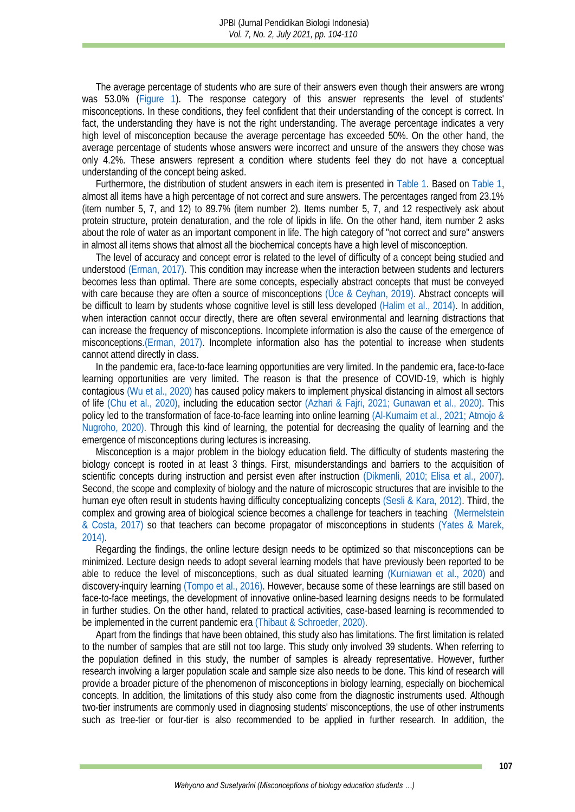The average percentage of students who are sure of their answers even though their answers are wrong was 53.0% [\(Figure 1\)](#page-2-0). The response category of this answer represents the level of students' misconceptions. In these conditions, they feel confident that their understanding of the concept is correct. In fact, the understanding they have is not the right understanding. The average percentage indicates a very high level of misconception because the average percentage has exceeded 50%. On the other hand, the average percentage of students whose answers were incorrect and unsure of the answers they chose was only 4.2%. These answers represent a condition where students feel they do not have a conceptual understanding of the concept being asked.

Furthermore, the distribution of student answers in each item is presented in [Table 1.](#page-2-1) Based on [Table 1,](#page-2-1) almost all items have a high percentage of not correct and sure answers. The percentages ranged from 23.1% (item number 5, 7, and 12) to 89.7% (item number 2). Items number 5, 7, and 12 respectively ask about protein structure, protein denaturation, and the role of lipids in life. On the other hand, item number 2 asks about the role of water as an important component in life. The high category of "not correct and sure" answers in almost all items shows that almost all the biochemical concepts have a high level of misconception.

The level of accuracy and concept error is related to the level of difficulty of a concept being studied and understood [\(Erman, 2017\).](#page-4-5) This condition may increase when the interaction between students and lecturers becomes less than optimal. There are some concepts, especially abstract concepts that must be conveyed with care because they are often a source of misconceptions (Uce & Ceyhan, 2019). Abstract concepts will be difficult to learn by students whose cognitive level is still less developed [\(Halim et al., 2014\).](#page-4-6) In addition, when interaction cannot occur directly, there are often several environmental and learning distractions that can increase the frequency of misconceptions. Incomplete information is also the cause of the emergence of misconception[s.\(Erman, 2017\).](#page-4-5) Incomplete information also has the potential to increase when students cannot attend directly in class.

In the pandemic era, face-to-face learning opportunities are very limited. In the pandemic era, face-to-face learning opportunities are very limited. The reason is that the presence of COVID-19, which is highly contagious [\(Wu et al., 2020\)](#page-5-12) has caused policy makers to implement physical distancing in almost all sectors of life [\(Chu et al., 2020\),](#page-4-7) including the education sector [\(Azhari & Fajri, 2021;](#page-4-8) [Gunawan et al., 2020\).](#page-4-9) This policy led to the transformation of face-to-face learning into online learning [\(Al-Kumaim et al., 2021;](#page-4-10) Atmojo & [Nugroho, 2020\).](#page-4-11) Through this kind of learning, the potential for decreasing the quality of learning and the emergence of misconceptions during lectures is increasing.

Misconception is a major problem in the biology education field. The difficulty of students mastering the biology concept is rooted in at least 3 things. First, misunderstandings and barriers to the acquisition of scientific concepts during instruction and persist even after instruction [\(Dikmenli, 2010;](#page-4-4) [Elisa et al., 2007\).](#page-4-12) Second, the scope and complexity of biology and the nature of microscopic structures that are invisible to the human eye often result in students having difficulty conceptualizing concepts [\(Sesli & Kara, 2012\).](#page-5-13) Third, the complex and growing area of biological science becomes a challenge for teachers in teaching [\(Mermelstein](#page-5-14)  & Costa, 2017) so that teachers can become propagator of misconceptions in students [\(Yates & Marek,](#page-5-15)  2014).

Regarding the findings, the online lecture design needs to be optimized so that misconceptions can be minimized. Lecture design needs to adopt several learning models that have previously been reported to be able to reduce the level of misconceptions, such as dual situated learning [\(Kurniawan et al., 2020\)](#page-4-13) and discovery-inquiry learning [\(Tompo et al., 2016\).](#page-5-16) However, because some of these learnings are still based on face-to-face meetings, the development of innovative online-based learning designs needs to be formulated in further studies. On the other hand, related to practical activities, case-based learning is recommended to be implemented in the current pandemic era [\(Thibaut & Schroeder, 2020\).](#page-5-17)

Apart from the findings that have been obtained, this study also has limitations. The first limitation is related to the number of samples that are still not too large. This study only involved 39 students. When referring to the population defined in this study, the number of samples is already representative. However, further research involving a larger population scale and sample size also needs to be done. This kind of research will provide a broader picture of the phenomenon of misconceptions in biology learning, especially on biochemical concepts. In addition, the limitations of this study also come from the diagnostic instruments used. Although two-tier instruments are commonly used in diagnosing students' misconceptions, the use of other instruments such as tree-tier or four-tier is also recommended to be applied in further research. In addition, the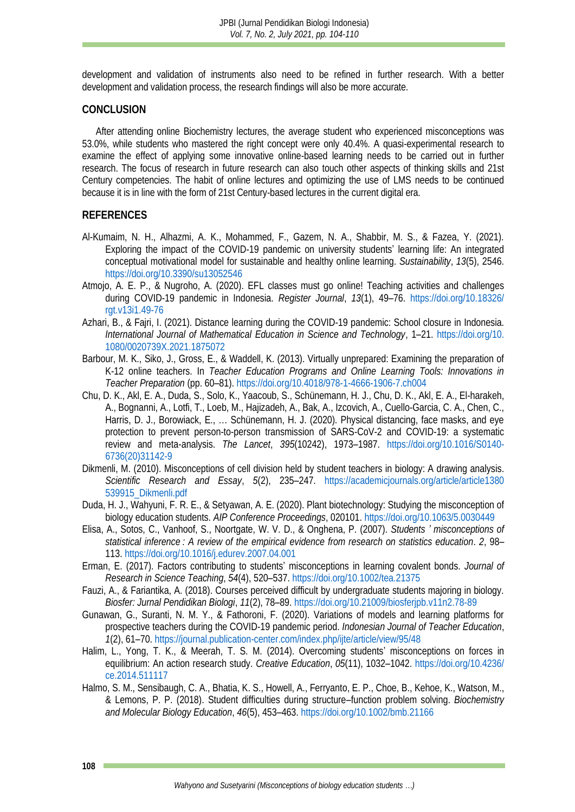development and validation of instruments also need to be refined in further research. With a better development and validation process, the research findings will also be more accurate.

## **CONCLUSION**

After attending online Biochemistry lectures, the average student who experienced misconceptions was 53.0%, while students who mastered the right concept were only 40.4%. A quasi-experimental research to examine the effect of applying some innovative online-based learning needs to be carried out in further research. The focus of research in future research can also touch other aspects of thinking skills and 21st Century competencies. The habit of online lectures and optimizing the use of LMS needs to be continued because it is in line with the form of 21st Century-based lectures in the current digital era.

## **REFERENCES**

- <span id="page-4-10"></span>Al-Kumaim, N. H., Alhazmi, A. K., Mohammed, F., Gazem, N. A., Shabbir, M. S., & Fazea, Y. (2021). Exploring the impact of the COVID-19 pandemic on university students' learning life: An integrated conceptual motivational model for sustainable and healthy online learning. *Sustainability*, *13*(5), 2546. <https://doi.org/10.3390/su13052546>
- <span id="page-4-11"></span>Atmojo, A. E. P., & Nugroho, A. (2020). EFL classes must go online! Teaching activities and challenges during COVID-19 pandemic in Indonesia. *Register Journal*, *13*(1), 49–76. [https://doi.org/10.18326/](https://doi.org/10.18326/rgt.v13i1.49-76) [rgt.v13i1.49-76](https://doi.org/10.18326/rgt.v13i1.49-76)
- <span id="page-4-8"></span>Azhari, B., & Fajri, I. (2021). Distance learning during the COVID-19 pandemic: School closure in Indonesia. *International Journal of Mathematical Education in Science and Technology*, 1–21. [https://doi.org/10.](https://doi.org/10.1080/0020739X.2021.1875072) [1080/0020739X.2021.1875072](https://doi.org/10.1080/0020739X.2021.1875072)
- <span id="page-4-3"></span>Barbour, M. K., Siko, J., Gross, E., & Waddell, K. (2013). Virtually unprepared: Examining the preparation of K-12 online teachers. In *Teacher Education Programs and Online Learning Tools: Innovations in Teacher Preparation* (pp. 60–81).<https://doi.org/10.4018/978-1-4666-1906-7.ch004>
- <span id="page-4-7"></span>Chu, D. K., Akl, E. A., Duda, S., Solo, K., Yaacoub, S., Schünemann, H. J., Chu, D. K., Akl, E. A., El-harakeh, A., Bognanni, A., Lotfi, T., Loeb, M., Hajizadeh, A., Bak, A., Izcovich, A., Cuello-Garcia, C. A., Chen, C., Harris, D. J., Borowiack, E., … Schünemann, H. J. (2020). Physical distancing, face masks, and eye protection to prevent person-to-person transmission of SARS-CoV-2 and COVID-19: a systematic review and meta-analysis. *The Lancet*, *395*(10242), 1973–1987. [https://doi.org/10.1016/S0140-](https://doi.org/10.1016/S0140-6736(20)31142-9) [6736\(20\)31142-9](https://doi.org/10.1016/S0140-6736(20)31142-9)
- <span id="page-4-4"></span>Dikmenli, M. (2010). Misconceptions of cell division held by student teachers in biology: A drawing analysis. *Scientific Research and Essay*, *5*(2), 235–247. [https://academicjournals.org/article/article1380](https://academicjournals.org/article/article1380539915_Dikmenli.pdf) [539915\\_Dikmenli.pdf](https://academicjournals.org/article/article1380539915_Dikmenli.pdf)
- <span id="page-4-2"></span>Duda, H. J., Wahyuni, F. R. E., & Setyawan, A. E. (2020). Plant biotechnology: Studying the misconception of biology education students. *AIP Conference Proceedings*, 020101[. https://doi.org/10.1063/5.0030449](https://doi.org/10.1063/5.0030449)
- <span id="page-4-12"></span>Elisa, A., Sotos, C., Vanhoof, S., Noortgate, W. V. D., & Onghena, P. (2007). *Students ' misconceptions of statistical inference : A review of the empirical evidence from research on statistics education*. *2*, 98– 113.<https://doi.org/10.1016/j.edurev.2007.04.001>
- <span id="page-4-5"></span>Erman, E. (2017). Factors contributing to students' misconceptions in learning covalent bonds. *Journal of Research in Science Teaching*, *54*(4), 520–537[. https://doi.org/10.1002/tea.21375](https://doi.org/10.1002/tea.21375)
- <span id="page-4-0"></span>Fauzi, A., & Fariantika, A. (2018). Courses perceived difficult by undergraduate students majoring in biology. *Biosfer: Jurnal Pendidikan Biologi*, *11*(2), 78–89[. https://doi.org/10.21009/biosferjpb.v11n2.78-89](https://doi.org/10.21009/biosferjpb.v11n2.78-89)
- <span id="page-4-9"></span>Gunawan, G., Suranti, N. M. Y., & Fathoroni, F. (2020). Variations of models and learning platforms for prospective teachers during the COVID-19 pandemic period. *Indonesian Journal of Teacher Education*, *1*(2), 61–70.<https://journal.publication-center.com/index.php/ijte/article/view/95/48>
- <span id="page-4-6"></span>Halim, L., Yong, T. K., & Meerah, T. S. M. (2014). Overcoming students' misconceptions on forces in equilibrium: An action research study. *Creative Education*, *05*(11), 1032–1042. [https://doi.org/10.4236/](https://doi.org/10.4236/ce.2014.511117) [ce.2014.511117](https://doi.org/10.4236/ce.2014.511117)
- <span id="page-4-13"></span><span id="page-4-1"></span>Halmo, S. M., Sensibaugh, C. A., Bhatia, K. S., Howell, A., Ferryanto, E. P., Choe, B., Kehoe, K., Watson, M., & Lemons, P. P. (2018). Student difficulties during structure–function problem solving. *Biochemistry and Molecular Biology Education*, *46*(5), 453–463[. https://doi.org/10.1002/bmb.21166](https://doi.org/10.1002/bmb.21166)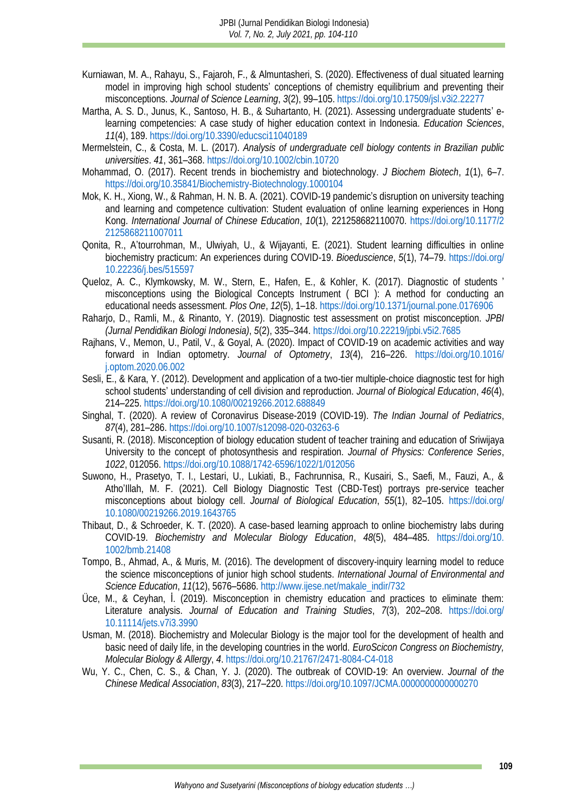- Kurniawan, M. A., Rahayu, S., Fajaroh, F., & Almuntasheri, S. (2020). Effectiveness of dual situated learning model in improving high school students' conceptions of chemistry equilibrium and preventing their misconceptions. *Journal of Science Learning*, *3*(2), 99–105. <https://doi.org/10.17509/jsl.v3i2.22277>
- <span id="page-5-6"></span>Martha, A. S. D., Junus, K., Santoso, H. B., & Suhartanto, H. (2021). Assessing undergraduate students' elearning competencies: A case study of higher education context in Indonesia. *Education Sciences*, *11*(4), 189.<https://doi.org/10.3390/educsci11040189>
- <span id="page-5-14"></span>Mermelstein, C., & Costa, M. L. (2017). *Analysis of undergraduate cell biology contents in Brazilian public universities*. *41*, 361–368[. https://doi.org/10.1002/cbin.10720](https://doi.org/10.1002/cbin.10720)
- <span id="page-5-0"></span>Mohammad, O. (2017). Recent trends in biochemistry and biotechnology. *J Biochem Biotech*, *1*(1), 6–7. <https://doi.org/10.35841/Biochemistry-Biotechnology.1000104>
- <span id="page-5-5"></span>Mok, K. H., Xiong, W., & Rahman, H. N. B. A. (2021). COVID-19 pandemic's disruption on university teaching and learning and competence cultivation: Student evaluation of online learning experiences in Hong Kong. *International Journal of Chinese Education*, *10*(1), 221258682110070. [https://doi.org/10.1177/2](https://doi.org/10.1177/22125868211007011) [2125868211007011](https://doi.org/10.1177/22125868211007011)
- <span id="page-5-7"></span>Qonita, R., A'tourrohman, M., Ulwiyah, U., & Wijayanti, E. (2021). Student learning difficulties in online biochemistry practicum: An experiences during COVID-19. *Bioeduscience*, *5*(1), 74–79. [https://doi.org/](https://doi.org/10.22236/j.bes/515597) [10.22236/j.bes/515597](https://doi.org/10.22236/j.bes/515597)
- <span id="page-5-2"></span>Queloz, A. C., Klymkowsky, M. W., Stern, E., Hafen, E., & Kohler, K. (2017). Diagnostic of students ' misconceptions using the Biological Concepts Instrument ( BCI ): A method for conducting an educational needs assessment. *Plos One*, *12*(5), 1–18.<https://doi.org/10.1371/journal.pone.0176906>
- <span id="page-5-8"></span>Raharjo, D., Ramli, M., & Rinanto, Y. (2019). Diagnostic test assessment on protist misconception. *JPBI (Jurnal Pendidikan Biologi Indonesia)*, *5*(2), 335–344.<https://doi.org/10.22219/jpbi.v5i2.7685>
- <span id="page-5-3"></span>Rajhans, V., Memon, U., Patil, V., & Goyal, A. (2020). Impact of COVID-19 on academic activities and way forward in Indian optometry. *Journal of Optometry*, *13*(4), 216–226. [https://doi.org/10.1016/](https://doi.org/10.1016/j.optom.2020.06.002) [j.optom.2020.06.002](https://doi.org/10.1016/j.optom.2020.06.002)
- <span id="page-5-13"></span>Sesli, E., & Kara, Y. (2012). Development and application of a two-tier multiple-choice diagnostic test for high school students' understanding of cell division and reproduction. *Journal of Biological Education*, *46*(4), 214–225.<https://doi.org/10.1080/00219266.2012.688849>
- <span id="page-5-4"></span>Singhal, T. (2020). A review of Coronavirus Disease-2019 (COVID-19). *The Indian Journal of Pediatrics*, *87*(4), 281–286.<https://doi.org/10.1007/s12098-020-03263-6>
- <span id="page-5-9"></span>Susanti, R. (2018). Misconception of biology education student of teacher training and education of Sriwijaya University to the concept of photosynthesis and respiration. *Journal of Physics: Conference Series*, *1022*, 012056.<https://doi.org/10.1088/1742-6596/1022/1/012056>
- <span id="page-5-10"></span>Suwono, H., Prasetyo, T. I., Lestari, U., Lukiati, B., Fachrunnisa, R., Kusairi, S., Saefi, M., Fauzi, A., & Atho'Illah, M. F. (2021). Cell Biology Diagnostic Test (CBD-Test) portrays pre-service teacher misconceptions about biology cell. *Journal of Biological Education*, *55*(1), 82–105. [https://doi.org/](https://doi.org/10.1080/00219266.2019.1643765) [10.1080/00219266.2019.1643765](https://doi.org/10.1080/00219266.2019.1643765)
- <span id="page-5-17"></span>Thibaut, D., & Schroeder, K. T. (2020). A case‐based learning approach to online biochemistry labs during COVID-19. *Biochemistry and Molecular Biology Education*, *48*(5), 484–485. [https://doi.org/10.](https://doi.org/10.1002/bmb.21408) [1002/bmb.21408](https://doi.org/10.1002/bmb.21408)
- <span id="page-5-16"></span>Tompo, B., Ahmad, A., & Muris, M. (2016). The development of discovery-inquiry learning model to reduce the science misconceptions of junior high school students. *International Journal of Environmental and Science Education*, *11*(12), 5676–5686. [http://www.ijese.net/makale\\_indir/732](http://www.ijese.net/makale_indir/732)
- <span id="page-5-11"></span>Üce, M., & Ceyhan, İ. (2019). Misconception in chemistry education and practices to eliminate them: Literature analysis. *Journal of Education and Training Studies*, *7*(3), 202–208. [https://doi.org/](https://doi.org/10.11114/jets.v7i3.3990) [10.11114/jets.v7i3.3990](https://doi.org/10.11114/jets.v7i3.3990)
- <span id="page-5-1"></span>Usman, M. (2018). Biochemistry and Molecular Biology is the major tool for the development of health and basic need of daily life, in the developing countries in the world. *EuroScicon Congress on Biochemistry, Molecular Biology & Allergy*, *4*.<https://doi.org/10.21767/2471-8084-C4-018>
- <span id="page-5-15"></span><span id="page-5-12"></span>Wu, Y. C., Chen, C. S., & Chan, Y. J. (2020). The outbreak of COVID-19: An overview. *Journal of the Chinese Medical Association*, *83*(3), 217–220[. https://doi.org/10.1097/JCMA.0000000000000270](https://doi.org/10.1097/JCMA.0000000000000270)